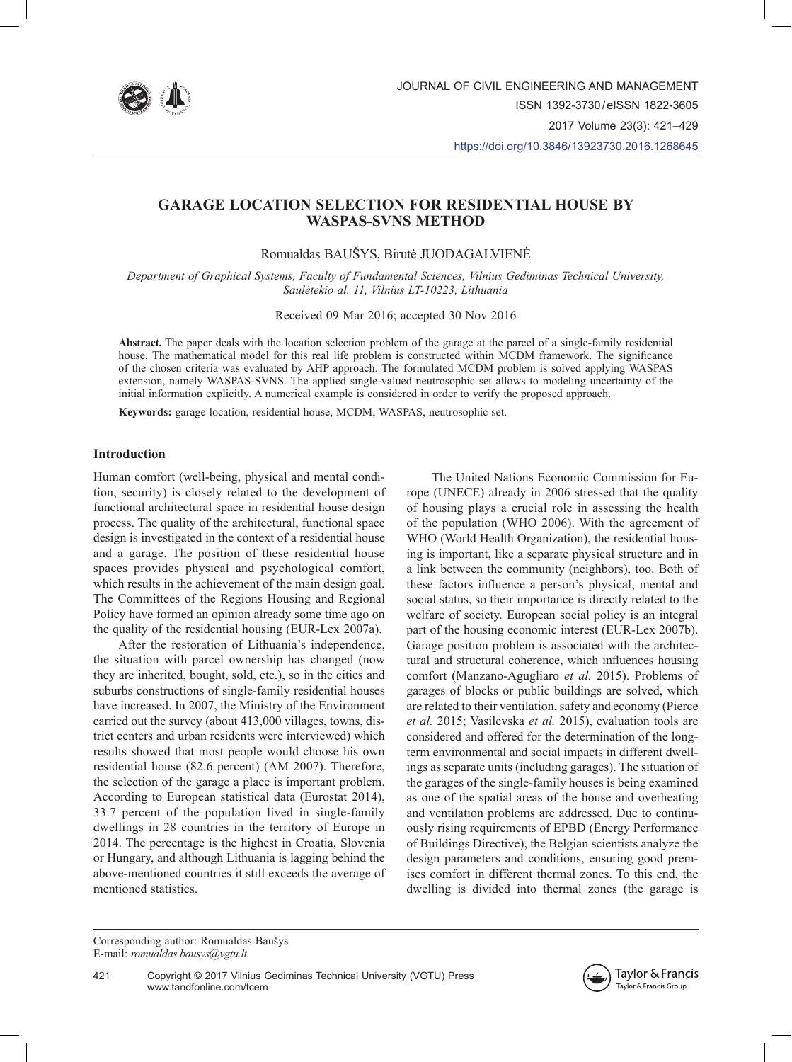

# **GARAGE LOCATION SELECTION FOR RESIDENTIAL HOUSE BY WASPAS-SVNS METHOD**

Romualdas BAUŠYS, Birutė JUODAGALVIENĖ

*Department of Graphical Systems, Faculty of Fundamental Sciences, Vilnius Gediminas Technical University, Saulėtekio al. 11, Vilnius LT-10223, Lithuania* 

Received 09 Mar 2016; accepted 30 Nov 2016

**Abstract.** The paper deals with the location selection problem of the garage at the parcel of a single-family residential house. The mathematical model for this real life problem is constructed within MCDM framework. The significance of the chosen criteria was evaluated by AHP approach. The formulated MCDM problem is solved applying WASPAS extension, namely WASPAS-SVNS. The applied single-valued neutrosophic set allows to modeling uncertainty of the initial information explicitly. A numerical example is considered in order to verify the proposed approach.

**Keywords:** garage location, residential house, MCDM, WASPAS, neutrosophic set.

### **Introduction**

Human comfort (well-being, physical and mental condition, security) is closely related to the development of functional architectural space in residential house design process. The quality of the architectural, functional space design is investigated in the context of a residential house and a garage. The position of these residential house spaces provides physical and psychological comfort, which results in the achievement of the main design goal. The Committees of the Regions Housing and Regional Policy have formed an opinion already some time ago on the quality of the residential housing (EUR-Lex 2007a).

After the restoration of Lithuania's independence, the situation with parcel ownership has changed (now they are inherited, bought, sold, etc.), so in the cities and suburbs constructions of single-family residential houses have increased. In 2007, the Ministry of the Environment carried out the survey (about 413,000 villages, towns, district centers and urban residents were interviewed) which results showed that most people would choose his own residential house (82.6 percent) (AM 2007). Therefore, the selection of the garage a place is important problem. According to European statistical data (Eurostat 2014), 33.7 percent of the population lived in single-family dwellings in 28 countries in the territory of Europe in 2014. The percentage is the highest in Croatia, Slovenia or Hungary, and although Lithuania is lagging behind the above-mentioned countries it still exceeds the average of mentioned statistics.

The United Nations Economic Commission for Europe (UNECE) already in 2006 stressed that the quality of housing plays a crucial role in assessing the health of the population (WHO 2006). With the agreement of WHO (World Health Organization), the residential housing is important, like a separate physical structure and in a link between the community (neighbors), too. Both of these factors influence a person's physical, mental and social status, so their importance is directly related to the welfare of society. European social policy is an integral part of the housing economic interest (EUR-Lex 2007b). Garage position problem is associated with the architectural and structural coherence, which influences housing comfort (Manzano-Agugliaro *et al.* 2015). Problems of garages of blocks or public buildings are solved, which are related to their ventilation, safety and economy (Pierce *et al.* 2015; Vasilevska *et al.* 2015), evaluation tools are considered and offered for the determination of the longterm environmental and social impacts in different dwellings as separate units (including garages). The situation of the garages of the single-family houses is being examined as one of the spatial areas of the house and overheating and ventilation problems are addressed. Due to continuously rising requirements of EPBD (Energy Performance of Buildings Directive), the Belgian scientists analyze the design parameters and conditions, ensuring good premises comfort in different thermal zones. To this end, the dwelling is divided into thermal zones (the garage is

Corresponding author: Romualdas Baušys E-mail: *romualdas.bausys@vgtu.lt*



Taylor & Francis Taylor & Francis Group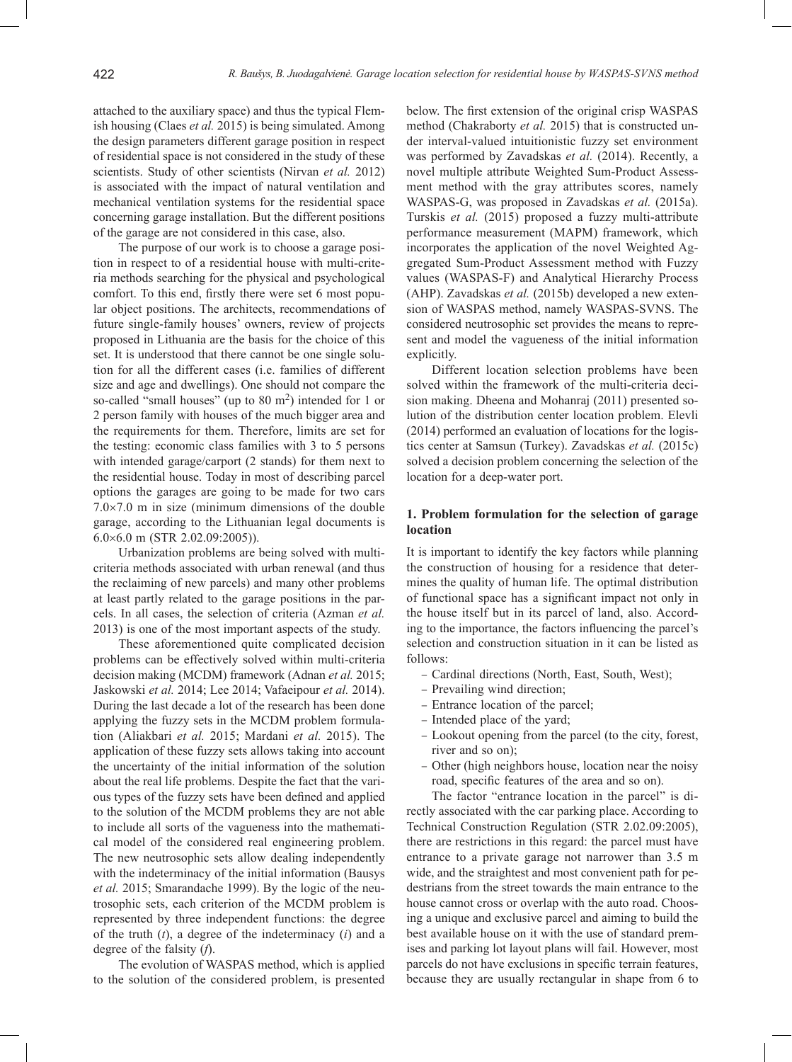attached to the auxiliary space) and thus the typical Flemish housing (Claes *et al.* 2015) is being simulated. Among the design parameters different garage position in respect of residential space is not considered in the study of these scientists. Study of other scientists (Nirvan *et al.* 2012) is associated with the impact of natural ventilation and mechanical ventilation systems for the residential space concerning garage installation. But the different positions of the garage are not considered in this case, also.

The purpose of our work is to choose a garage position in respect to of a residential house with multi-criteria methods searching for the physical and psychological comfort. To this end, firstly there were set 6 most popular object positions. The architects, recommendations of future single-family houses' owners, review of projects proposed in Lithuania are the basis for the choice of this set. It is understood that there cannot be one single solution for all the different cases (i.e. families of different size and age and dwellings). One should not compare the so-called "small houses" (up to  $80 \text{ m}^2$ ) intended for 1 or 2 person family with houses of the much bigger area and the requirements for them. Therefore, limits are set for the testing: economic class families with 3 to 5 persons with intended garage/carport (2 stands) for them next to the residential house. Today in most of describing parcel options the garages are going to be made for two cars 7.0×7.0 m in size (minimum dimensions of the double garage, according to the Lithuanian legal documents is 6.0×6.0 m (STR 2.02.09:2005)).

Urbanization problems are being solved with multicriteria methods associated with urban renewal (and thus the reclaiming of new parcels) and many other problems at least partly related to the garage positions in the parcels. In all cases, the selection of criteria (Azman *et al.* 2013) is one of the most important aspects of the study.

These aforementioned quite complicated decision problems can be effectively solved within multi-criteria decision making (MCDM) framework (Adnan *et al.* 2015; Jaskowski *et al.* 2014; Lee 2014; Vafaeipour *et al.* 2014). During the last decade a lot of the research has been done applying the fuzzy sets in the MCDM problem formulation (Aliakbari *et al.* 2015; Mardani *et al.* 2015). The application of these fuzzy sets allows taking into account the uncertainty of the initial information of the solution about the real life problems. Despite the fact that the various types of the fuzzy sets have been defined and applied to the solution of the MCDM problems they are not able to include all sorts of the vagueness into the mathematical model of the considered real engineering problem. The new neutrosophic sets allow dealing independently with the indeterminacy of the initial information (Bausys *et al.* 2015; Smarandache 1999). By the logic of the neutrosophic sets, each criterion of the MCDM problem is represented by three independent functions: the degree of the truth (*t*), a degree of the indeterminacy (*i*) and a degree of the falsity (*f*).

The evolution of WASPAS method, which is applied to the solution of the considered problem, is presented

below. The first extension of the original crisp WASPAS method (Chakraborty *et al.* 2015) that is constructed under interval-valued intuitionistic fuzzy set environment was performed by Zavadskas *et al.* (2014). Recently, a novel multiple attribute Weighted Sum-Product Assessment method with the gray attributes scores, namely WASPAS-G, was proposed in Zavadskas *et al.* (2015a). Turskis *et al.* (2015) proposed a fuzzy multi-attribute performance measurement (MAPM) framework, which incorporates the application of the novel Weighted Aggregated Sum-Product Assessment method with Fuzzy values (WASPAS-F) and Analytical Hierarchy Process (AHP). Zavadskas *et al.* (2015b) developed a new extension of WASPAS method, namely WASPAS-SVNS. The considered neutrosophic set provides the means to represent and model the vagueness of the initial information explicitly.

Different location selection problems have been solved within the framework of the multi-criteria decision making. Dheena and Mohanraj (2011) presented solution of the distribution center location problem. Elevli (2014) performed an evaluation of locations for the logistics center at Samsun (Turkey). Zavadskas *et al.* (2015c) solved a decision problem concerning the selection of the location for a deep-water port.

### **1. Problem formulation for the selection of garage location**

It is important to identify the key factors while planning the construction of housing for a residence that determines the quality of human life. The optimal distribution of functional space has a significant impact not only in the house itself but in its parcel of land, also. According to the importance, the factors influencing the parcel's selection and construction situation in it can be listed as follows:

- Cardinal directions (North, East, South, West);
- Prevailing wind direction;
- Entrance location of the parcel;
- Intended place of the yard;
- Lookout opening from the parcel (to the city, forest, river and so on);
- Other (high neighbors house, location near the noisy road, specific features of the area and so on).

The factor "entrance location in the parcel" is directly associated with the car parking place. According to Technical Construction Regulation (STR 2.02.09:2005), there are restrictions in this regard: the parcel must have entrance to a private garage not narrower than 3.5 m wide, and the straightest and most convenient path for pedestrians from the street towards the main entrance to the house cannot cross or overlap with the auto road. Choosing a unique and exclusive parcel and aiming to build the best available house on it with the use of standard premises and parking lot layout plans will fail. However, most parcels do not have exclusions in specific terrain features, because they are usually rectangular in shape from 6 to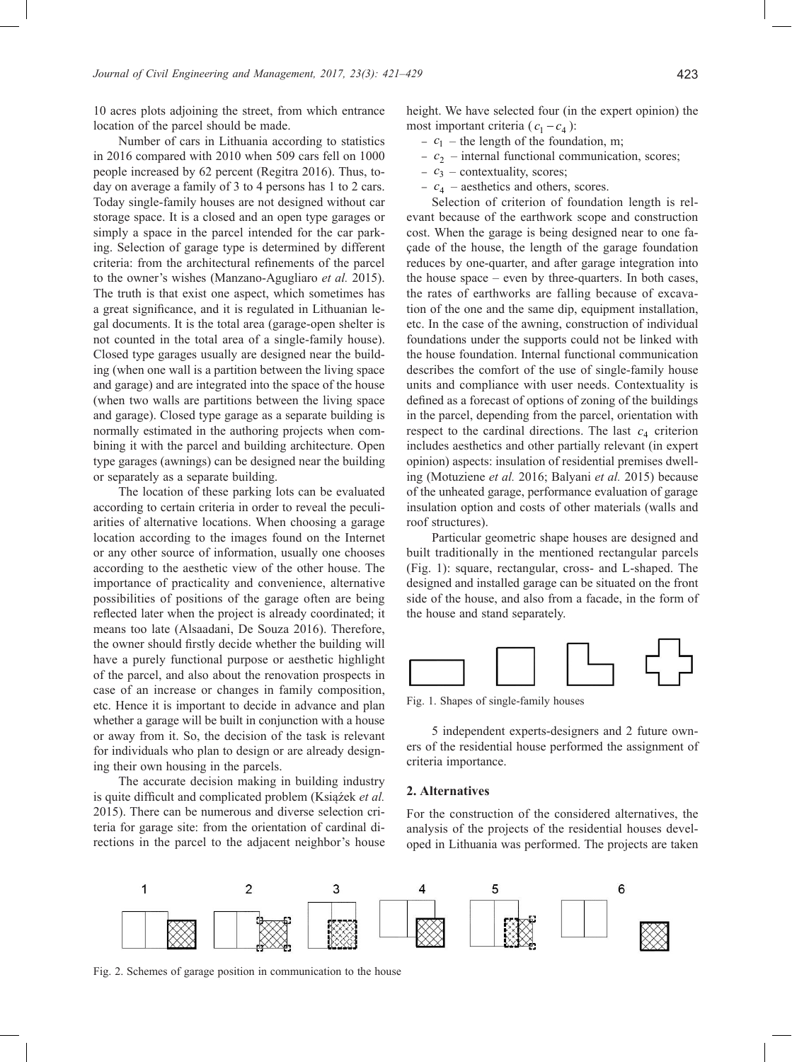10 acres plots adjoining the street, from which entrance location of the parcel should be made.

Number of cars in Lithuania according to statistics in 2016 compared with 2010 when 509 cars fell on 1000 people increased by 62 percent (Regitra 2016). Thus, today on average a family of 3 to 4 persons has 1 to 2 cars. Today single-family houses are not designed without car storage space. It is a closed and an open type garages or simply a space in the parcel intended for the car parking. Selection of garage type is determined by different criteria: from the architectural refinements of the parcel to the owner's wishes (Manzano-Agugliaro *et al.* 2015). The truth is that exist one aspect, which sometimes has a great significance, and it is regulated in Lithuanian legal documents. It is the total area (garage-open shelter is not counted in the total area of a single-family house). Closed type garages usually are designed near the building (when one wall is a partition between the living space and garage) and are integrated into the space of the house (when two walls are partitions between the living space and garage). Closed type garage as a separate building is normally estimated in the authoring projects when combining it with the parcel and building architecture. Open type garages (awnings) can be designed near the building or separately as a separate building.

The location of these parking lots can be evaluated according to certain criteria in order to reveal the peculiarities of alternative locations. When choosing a garage location according to the images found on the Internet or any other source of information, usually one chooses according to the aesthetic view of the other house. The importance of practicality and convenience, alternative possibilities of positions of the garage often are being reflected later when the project is already coordinated; it means too late (Alsaadani, De Souza 2016). Therefore, the owner should firstly decide whether the building will have a purely functional purpose or aesthetic highlight of the parcel, and also about the renovation prospects in case of an increase or changes in family composition, etc. Hence it is important to decide in advance and plan whether a garage will be built in conjunction with a house or away from it. So, the decision of the task is relevant for individuals who plan to design or are already designing their own housing in the parcels.

The accurate decision making in building industry is quite difficult and complicated problem (Ksiąźek *et al.* 2015). There can be numerous and diverse selection criteria for garage site: from the orientation of cardinal directions in the parcel to the adjacent neighbor's house height. We have selected four (in the expert opinion) the most important criteria ( $c_1 - c_4$ ):

- $-c_1$  the length of the foundation, m;
- $-c_2$  internal functional communication, scores;
- $-c_3$  contextuality, scores;
- $-c_4$  aesthetics and others, scores.

Selection of criterion of foundation length is relevant because of the earthwork scope and construction cost. When the garage is being designed near to one façade of the house, the length of the garage foundation reduces by one-quarter, and after garage integration into the house space – even by three-quarters. In both cases, the rates of earthworks are falling because of excavation of the one and the same dip, equipment installation, etc. In the case of the awning, construction of individual foundations under the supports could not be linked with the house foundation. Internal functional communication describes the comfort of the use of single-family house units and compliance with user needs. Contextuality is defined as a forecast of options of zoning of the buildings in the parcel, depending from the parcel, orientation with respect to the cardinal directions. The last  $c_4$  criterion includes aesthetics and other partially relevant (in expert opinion) aspects: insulation of residential premises dwelling (Motuziene *et al.* 2016; Balyani *et al.* 2015) because of the unheated garage, performance evaluation of garage insulation option and costs of other materials (walls and roof structures).

Particular geometric shape houses are designed and built traditionally in the mentioned rectangular parcels (Fig. 1): square, rectangular, cross- and L-shaped. The designed and installed garage can be situated on the front side of the house, and also from a facade, in the form of the house and stand separately.



Fig. 1. Shapes of single-family houses

5 independent experts-designers and 2 future owners of the residential house performed the assignment of criteria importance.

#### **2. Alternatives**

For the construction of the considered alternatives, the analysis of the projects of the residential houses developed in Lithuania was performed. The projects are taken



Fig. 2. Schemes of garage position in communication to the house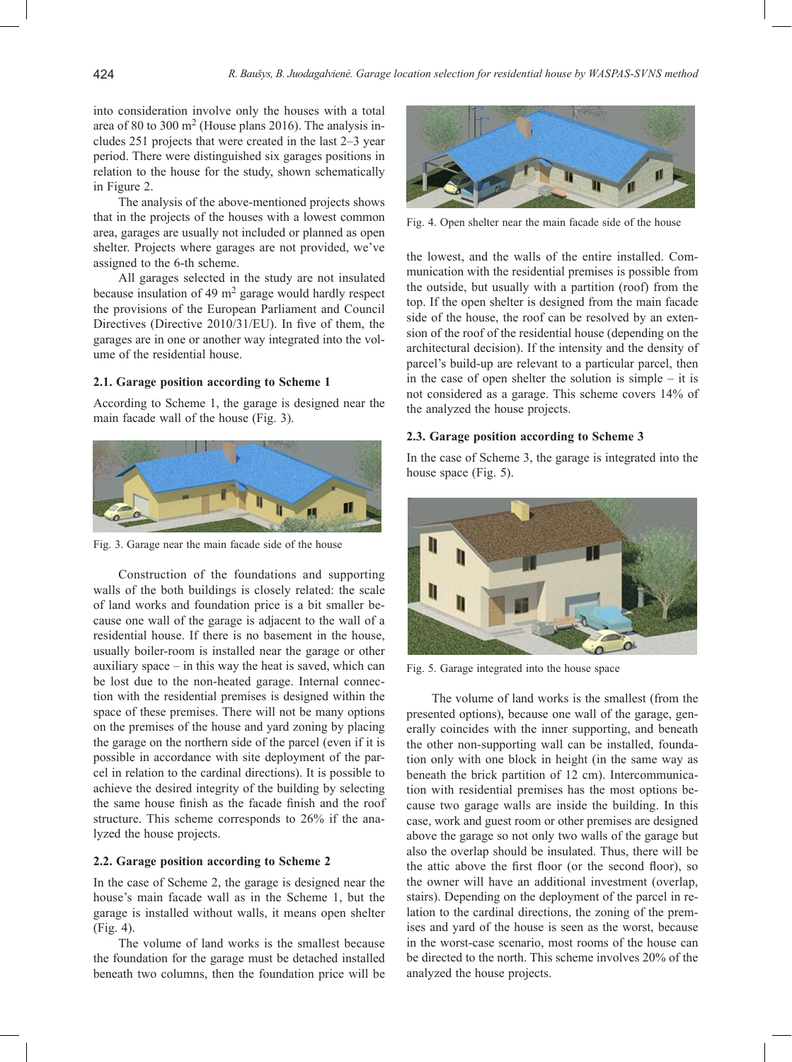into consideration involve only the houses with a total area of 80 to 300 m2 (House plans 2016). The analysis includes 251 projects that were created in the last 2–3 year period. There were distinguished six garages positions in relation to the house for the study, shown schematically in Figure 2.

The analysis of the above-mentioned projects shows that in the projects of the houses with a lowest common area, garages are usually not included or planned as open shelter. Projects where garages are not provided, we've assigned to the 6-th scheme.

All garages selected in the study are not insulated because insulation of 49  $m<sup>2</sup>$  garage would hardly respect the provisions of the European Parliament and Council Directives (Directive 2010/31/EU). In five of them, the garages are in one or another way integrated into the volume of the residential house.

### **2.1. Garage position according to Scheme 1**

According to Scheme 1, the garage is designed near the main facade wall of the house (Fig. 3).



Fig. 3. Garage near the main facade side of the house

Construction of the foundations and supporting walls of the both buildings is closely related: the scale of land works and foundation price is a bit smaller because one wall of the garage is adjacent to the wall of a residential house. If there is no basement in the house, usually boiler-room is installed near the garage or other auxiliary space – in this way the heat is saved, which can be lost due to the non-heated garage. Internal connection with the residential premises is designed within the space of these premises. There will not be many options on the premises of the house and yard zoning by placing the garage on the northern side of the parcel (even if it is possible in accordance with site deployment of the parcel in relation to the cardinal directions). It is possible to achieve the desired integrity of the building by selecting the same house finish as the facade finish and the roof structure. This scheme corresponds to 26% if the analyzed the house projects.

## **2.2. Garage position according to Scheme 2**

In the case of Scheme 2, the garage is designed near the house's main facade wall as in the Scheme 1, but the garage is installed without walls, it means open shelter (Fig. 4).

The volume of land works is the smallest because the foundation for the garage must be detached installed beneath two columns, then the foundation price will be



Fig. 4. Open shelter near the main facade side of the house

the lowest, and the walls of the entire installed. Communication with the residential premises is possible from the outside, but usually with a partition (roof) from the top. If the open shelter is designed from the main facade side of the house, the roof can be resolved by an extension of the roof of the residential house (depending on the architectural decision). If the intensity and the density of parcel's build-up are relevant to a particular parcel, then in the case of open shelter the solution is simple – it is not considered as a garage. This scheme covers 14% of the analyzed the house projects.

## **2.3. Garage position according to Scheme 3**

In the case of Scheme 3, the garage is integrated into the house space (Fig. 5).



Fig. 5. Garage integrated into the house space

The volume of land works is the smallest (from the presented options), because one wall of the garage, generally coincides with the inner supporting, and beneath the other non-supporting wall can be installed, foundation only with one block in height (in the same way as beneath the brick partition of 12 cm). Intercommunication with residential premises has the most options because two garage walls are inside the building. In this case, work and guest room or other premises are designed above the garage so not only two walls of the garage but also the overlap should be insulated. Thus, there will be the attic above the first floor (or the second floor), so the owner will have an additional investment (overlap, stairs). Depending on the deployment of the parcel in relation to the cardinal directions, the zoning of the premises and yard of the house is seen as the worst, because in the worst-case scenario, most rooms of the house can be directed to the north. This scheme involves 20% of the analyzed the house projects.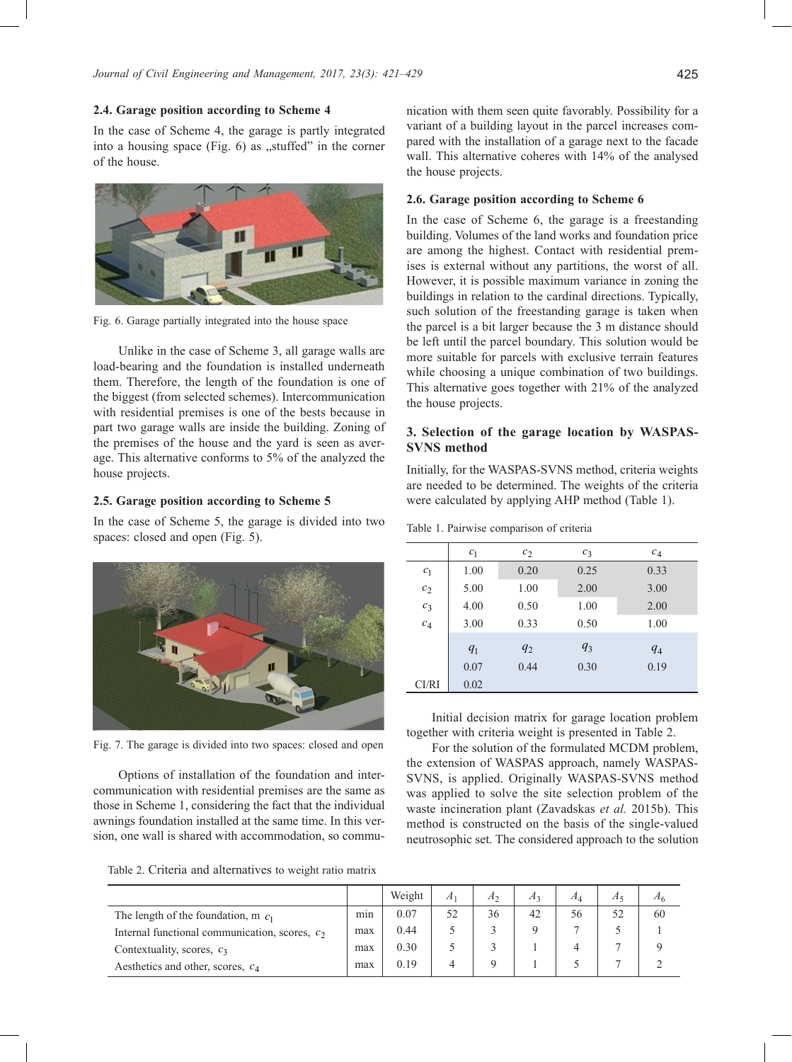# **2.4. Garage position according to Scheme 4**

In the case of Scheme 4, the garage is partly integrated into a housing space (Fig.  $6$ ) as "stuffed" in the corner of the house.



Fig. 6. Garage partially integrated into the house space

Unlike in the case of Scheme 3, all garage walls are load-bearing and the foundation is installed underneath them. Therefore, the length of the foundation is one of the biggest (from selected schemes). Intercommunication with residential premises is one of the bests because in part two garage walls are inside the building. Zoning of the premises of the house and the yard is seen as average. This alternative conforms to 5% of the analyzed the house projects.

## **2.5. Garage position according to Scheme 5**

In the case of Scheme 5, the garage is divided into two spaces: closed and open (Fig. 5).



Fig. 7. The garage is divided into two spaces: closed and open

Options of installation of the foundation and intercommunication with residential premises are the same as those in Scheme 1, considering the fact that the individual awnings foundation installed at the same time. In this version, one wall is shared with accommodation, so commu-

|  | Table 2. Criteria and alternatives to weight ratio matrix |  |  |
|--|-----------------------------------------------------------|--|--|
|  |                                                           |  |  |

nication with them seen quite favorably. Possibility for a variant of a building layout in the parcel increases compared with the installation of a garage next to the facade wall. This alternative coheres with 14% of the analysed the house projects.

### **2.6. Garage position according to Scheme 6**

In the case of Scheme 6, the garage is a freestanding building. Volumes of the land works and foundation price are among the highest. Contact with residential premises is external without any partitions, the worst of all. However, it is possible maximum variance in zoning the buildings in relation to the cardinal directions. Typically, such solution of the freestanding garage is taken when the parcel is a bit larger because the 3 m distance should be left until the parcel boundary. This solution would be more suitable for parcels with exclusive terrain features while choosing a unique combination of two buildings. This alternative goes together with 21% of the analyzed the house projects.

# **3. Selection of the garage location by WASPAS-SVNS method**

Initially, for the WASPAS-SVNS method, criteria weights are needed to be determined. The weights of the criteria were calculated by applying AHP method (Table 1).

Table 1. Pairwise comparison of criteria

|                | c <sub>1</sub> | $c_2$ | $c_3$ | $c_4$ |
|----------------|----------------|-------|-------|-------|
| c <sub>1</sub> | 1.00           | 0.20  | 0.25  | 0.33  |
| $c_2$          | 5.00           | 1.00  | 2.00  | 3.00  |
| $c_3$          | 4.00           | 0.50  | 1.00  | 2.00  |
| $c_4$          | 3.00           | 0.33  | 0.50  | 1.00  |
|                | $q_1$          | $q_2$ | $q_3$ | $q_4$ |
|                | 0.07           | 0.44  | 0.30  | 0.19  |
| CI/RI          | 0.02           |       |       |       |

Initial decision matrix for garage location problem together with criteria weight is presented in Table 2.

For the solution of the formulated MCDM problem, the extension of WASPAS approach, namely WASPAS-SVNS, is applied. Originally WASPAS-SVNS method was applied to solve the site selection problem of the waste incineration plant (Zavadskas *et al.* 2015b). This method is constructed on the basis of the single-valued neutrosophic set. The considered approach to the solution

|                                                  |     | Weight | A <sup>3</sup> | $A_2$ | $A_2$ | Aл | Aς | $A_6$ |
|--------------------------------------------------|-----|--------|----------------|-------|-------|----|----|-------|
| The length of the foundation, m $c_1$            | mın | 0.07   |                | 36    | 42    | 56 | 52 | 60    |
| Internal functional communication, scores, $c_2$ |     | 0.44   |                |       |       |    |    |       |
| Contextuality, scores, $c_3$                     | max | 0.30   |                |       |       |    |    |       |
| Aesthetics and other, scores, $c_4$              | max | 0.19   |                |       |       |    |    |       |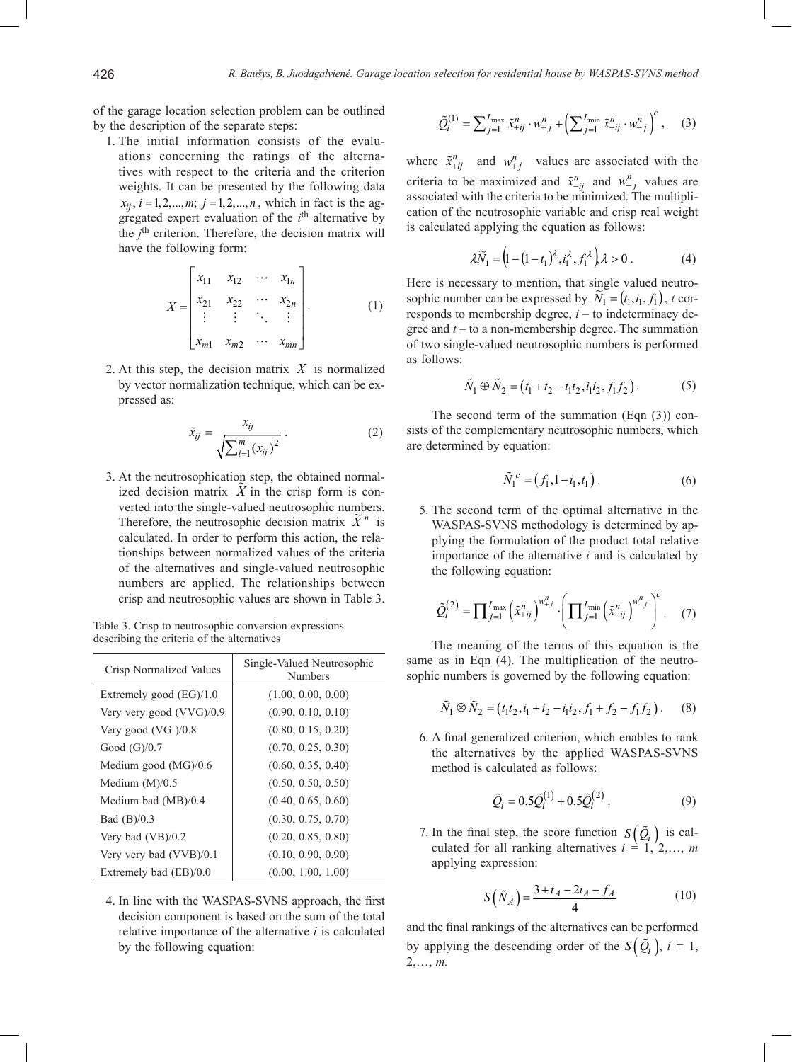of the garage location selection problem can be outlined by the description of the separate steps:

1. The initial information consists of the evaluations concerning the ratings of the alternatives with respect to the criteria and the criterion weights. It can be presented by the following data  $x_{ii}$ ,  $i = 1, 2, \dots, m$ ;  $j = 1, 2, \dots, n$ , which in fact is the aggregated expert evaluation of the *i*<sup>th</sup> alternative by the *j*<sup>th</sup> criterion. Therefore, the decision matrix will have the following form:

$$
X = \begin{bmatrix} x_{11} & x_{12} & \cdots & x_{1n} \\ x_{21} & x_{22} & \cdots & x_{2n} \\ \vdots & \vdots & \ddots & \vdots \\ x_{m1} & x_{m2} & \cdots & x_{mn} \end{bmatrix} .
$$
 (1)

2. At this step, the decision matrix  $X$  is normalized by vector normalization technique, which can be expressed as:

$$
\tilde{x}_{ij} = \frac{x_{ij}}{\sqrt{\sum_{i=1}^{m} (x_{ij})^2}}.
$$
 (2)

3. At the neutrosophication step, the obtained normal-At the neutrosophication step, the obtained normalized decision matrix  $\widetilde{X}$  in the crisp form is converted into the single-valued neutrosophic numbers. Therefore, the neutrosophic decision matrix  $\tilde{X}^n$  is calculated. In order to perform this action, the relationships between normalized values of the criteria of the alternatives and single-valued neutrosophic numbers are applied. The relationships between crisp and neutrosophic values are shown in Table 3.

Table 3. Crisp to neutrosophic conversion expressions describing the criteria of the alternatives

| Crisp Normalized Values    | Single-Valued Neutrosophic<br><b>Numbers</b> |
|----------------------------|----------------------------------------------|
| Extremely good $(EG)/1.0$  | (1.00, 0.00, 0.00)                           |
| Very very good $(VVG)/0.9$ | (0.90, 0.10, 0.10)                           |
| Very good $(VG)/0.8$       | (0.80, 0.15, 0.20)                           |
| Good $(G)/0.7$             | (0.70, 0.25, 0.30)                           |
| Medium good (MG)/0.6       | (0.60, 0.35, 0.40)                           |
| Medium $(M)/0.5$           | (0.50, 0.50, 0.50)                           |
| Medium bad (MB)/0.4        | (0.40, 0.65, 0.60)                           |
| Bad $(B)/0.3$              | (0.30, 0.75, 0.70)                           |
| Very bad $(VB)/0.2$        | (0.20, 0.85, 0.80)                           |
| Very very bad (VVB)/0.1    | (0.10, 0.90, 0.90)                           |
| Extremely bad $(EB)/0.0$   | (0.00, 1.00, 1.00)                           |

4. In line with the WASPAS-SVNS approach, the first decision component is based on the sum of the total relative importance of the alternative *i* is calculated by the following equation:

$$
\tilde{Q}_{i}^{(1)} = \sum_{j=1}^{L_{\text{max}}} \tilde{x}_{+ij}^{n} \cdot w_{+j}^{n} + \left(\sum_{j=1}^{L_{\text{min}}} \tilde{x}_{-ij}^{n} \cdot w_{-j}^{n}\right)^{c}, \quad (3)
$$

where  $\tilde{x}^n_{+ij}$  and  $w^n_{+j}$  values are associated with the criteria to be maximized and  $\tilde{x}_{-ij}^n$  and  $w_{-j}^n$  values are associated with the criteria to be minimized. The multiplication of the neutrosophic variable and crisp real weight is calculated applying the equation as follows:

$$
\lambda \widetilde{N}_1 = \left(1 - \left(1 - t_1\right)^{\lambda}, i_1^{\lambda}, f_1^{\lambda}\right) \lambda > 0 \tag{4}
$$

Here is necessary to mention, that single valued neutrosophic number can be expressed by  $\widetilde{N}_1 = (t_1, i_1, f_1)$ , *t* corresponds to membership degree,  $i -$  to indeterminacy degree and *t* – to a non-membership degree. The summation of two single-valued neutrosophic numbers is performed as follows:

$$
\tilde{N}_1 \oplus \tilde{N}_2 = (t_1 + t_2 - t_1 t_2, i_1 i_2, f_1 f_2).
$$
 (5)

The second term of the summation (Eqn (3)) consists of the complementary neutrosophic numbers, which are determined by equation:

$$
\tilde{N}_1^c = (f_1, 1 - i_1, t_1).
$$
 (6)

5. The second term of the optimal alternative in the WASPAS-SVNS methodology is determined by applying the formulation of the product total relative importance of the alternative *i* and is calculated by the following equation:

$$
\tilde{Q}_{i}^{(2)} = \prod_{j=1}^{L_{\max}} \left(\tilde{x}_{+ij}^{n}\right)^{w_{+j}^{n}} \cdot \left(\prod_{j=1}^{L_{\min}} \left(\tilde{x}_{-ij}^{n}\right)^{w_{-j}^{n}}\right)^{c}.
$$
 (7)

The meaning of the terms of this equation is the same as in Eqn (4). The multiplication of the neutrosophic numbers is governed by the following equation:

$$
\tilde{N}_1 \otimes \tilde{N}_2 = (t_1 t_2, i_1 + i_2 - i_1 i_2, f_1 + f_2 - f_1 f_2).
$$
 (8)

6. A final generalized criterion, which enables to rank the alternatives by the applied WASPAS-SVNS method is calculated as follows:

$$
\tilde{Q}_i = 0.5 \tilde{Q}_i^{(1)} + 0.5 \tilde{Q}_i^{(2)} . \tag{9}
$$

7. In the final step, the score function  $S(\tilde{Q}_i)$  is calculated for all ranking alternatives  $i = 1, 2, \ldots, m$ applying expression:

$$
S(\tilde{N}_A) = \frac{3 + t_A - 2i_A - f_A}{4}
$$
 (10)

and the final rankings of the alternatives can be performed by applying the descending order of the  $S(\tilde{Q}_i)$ ,  $i = 1$ , 2,…, *m.*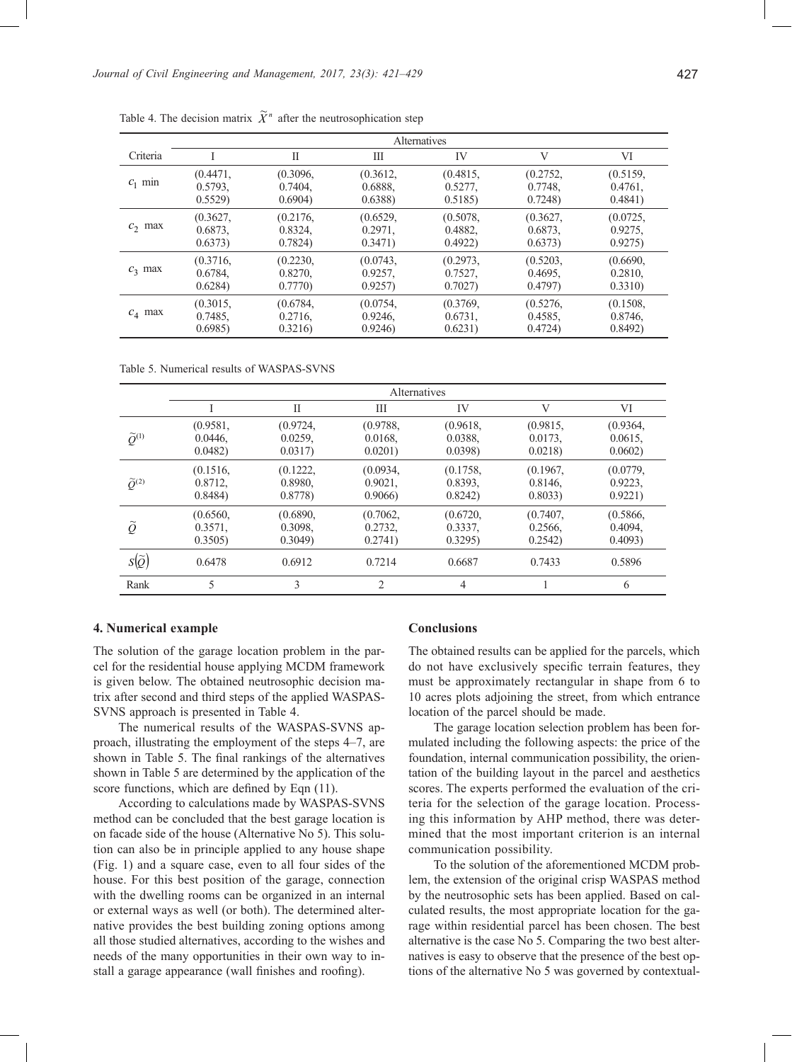|           | Alternatives |            |            |          |          |            |  |  |
|-----------|--------------|------------|------------|----------|----------|------------|--|--|
| Criteria  |              | П          | Ш          | IV       | V        | VI         |  |  |
| $c_1$ min | $(0.4471)$ . | (0.3096,   | (0.3612,   | (0.4815, | (0.2752, | (0.5159,   |  |  |
|           | 0.5793.      | 0.7404.    | 0.6888.    | 0.5277.  | 0.7748,  | 0.4761.    |  |  |
|           | 0.5529       | 0.6904)    | 0.6388     | 0.5185   | 0.7248   | 0.4841)    |  |  |
| $c_2$ max | (0.3627,     | (0.2176,   | (0.6529,   | (0.5078, | (0.3627, | (0.0725,   |  |  |
|           | 0.6873.      | 0.8324,    | 0.2971,    | 0.4882.  | 0.6873.  | $0.9275$ , |  |  |
|           | 0.6373       | 0.7824     | 0.3471     | 0.4922   | 0.6373   | 0.9275     |  |  |
| $c_3$ max | (0.3716,     | (0.2230,   | (0.0743,   | (0.2973, | (0.5203, | (0.6690,   |  |  |
|           | 0.6784,      | 0.8270,    | $0.9257$ , | 0.7527.  | 0.4695,  | 0.2810,    |  |  |
|           | 0.6284)      | 0.7770     | 0.9257     | 0.7027   | 0.4797   | 0.3310     |  |  |
| $c_4$ max | (0.3015,     | (0.6784,   | (0.0754,   | (0.3769, | (0.5276, | (0.1508,   |  |  |
|           | 0.7485,      | $0.2716$ , | 0.9246,    | 0.6731.  | 0.4585.  | 0.8746,    |  |  |
|           | 0.6985)      | 0.3216     | 0.9246     | 0.6231)  | 0.4724)  | 0.8492     |  |  |

Table 4. The decision matrix  $\widetilde{X}^n$  after the neutrosophication step

Table 5. Numerical results of WASPAS-SVNS

|                       | Alternatives                  |                                  |                                |                                |                                  |                                  |  |  |
|-----------------------|-------------------------------|----------------------------------|--------------------------------|--------------------------------|----------------------------------|----------------------------------|--|--|
|                       |                               | П                                | Ш                              | IV                             | V                                | VI                               |  |  |
| $\widetilde{Q}^{(1)}$ | (0.9581,<br>0.0446,<br>0.0482 | (0.9724,<br>$0.0259$ ,<br>0.0317 | (0.9788,<br>0.0168.<br>0.0201) | (0.9618,<br>0.0388.<br>0.0398  | (0.9815,<br>$0.0173$ ,<br>0.0218 | (0.9364,<br>$0.0615$ ,<br>0.0602 |  |  |
| $\widetilde{Q}^{(2)}$ | (0.1516,<br>0.8712,<br>0.8484 | (0.1222,<br>0.8980.<br>0.8778    | (0.0934,<br>0.9021,<br>0.9066  | (0.1758)<br>0.8393.<br>0.8242) | (0.1967,<br>0.8146,<br>0.8033    | (0.0779,<br>$0.9223$ ,<br>0.9221 |  |  |
| $\widetilde{Q}$       | (0.6560,<br>0.3571,<br>0.3505 | (0.6890,<br>0.3098.<br>0.3049    | (0.7062,<br>0.2732.<br>0.2741) | (0.6720,<br>0.3337.<br>0.3295  | (0.7407,<br>0.2566.<br>0.2542    | (0.5866,<br>0.4094.<br>0.4093    |  |  |
| $S(\widetilde{Q})$    | 0.6478                        | 0.6912                           | 0.7214                         | 0.6687                         | 0.7433                           | 0.5896                           |  |  |
| Rank                  | 5                             | 3                                | $\mathfrak{D}$                 | 4                              |                                  | 6                                |  |  |

## **4. Numerical example**

The solution of the garage location problem in the parcel for the residential house applying MCDM framework is given below. The obtained neutrosophic decision matrix after second and third steps of the applied WASPAS-SVNS approach is presented in Table 4.

The numerical results of the WASPAS-SVNS approach, illustrating the employment of the steps 4–7, are shown in Table 5. The final rankings of the alternatives shown in Table 5 are determined by the application of the score functions, which are defined by Eqn  $(11)$ .

According to calculations made by WASPAS-SVNS method can be concluded that the best garage location is on facade side of the house (Alternative No 5). This solution can also be in principle applied to any house shape (Fig. 1) and a square case, even to all four sides of the house. For this best position of the garage, connection with the dwelling rooms can be organized in an internal or external ways as well (or both). The determined alternative provides the best building zoning options among all those studied alternatives, according to the wishes and needs of the many opportunities in their own way to install a garage appearance (wall finishes and roofing).

#### **Conclusions**

The obtained results can be applied for the parcels, which do not have exclusively specific terrain features, they must be approximately rectangular in shape from 6 to 10 acres plots adjoining the street, from which entrance location of the parcel should be made.

The garage location selection problem has been formulated including the following aspects: the price of the foundation, internal communication possibility, the orientation of the building layout in the parcel and aesthetics scores. The experts performed the evaluation of the criteria for the selection of the garage location. Processing this information by AHP method, there was determined that the most important criterion is an internal communication possibility.

To the solution of the aforementioned MCDM problem, the extension of the original crisp WASPAS method by the neutrosophic sets has been applied. Based on calculated results, the most appropriate location for the garage within residential parcel has been chosen. The best alternative is the case No 5. Comparing the two best alternatives is easy to observe that the presence of the best options of the alternative No 5 was governed by contextual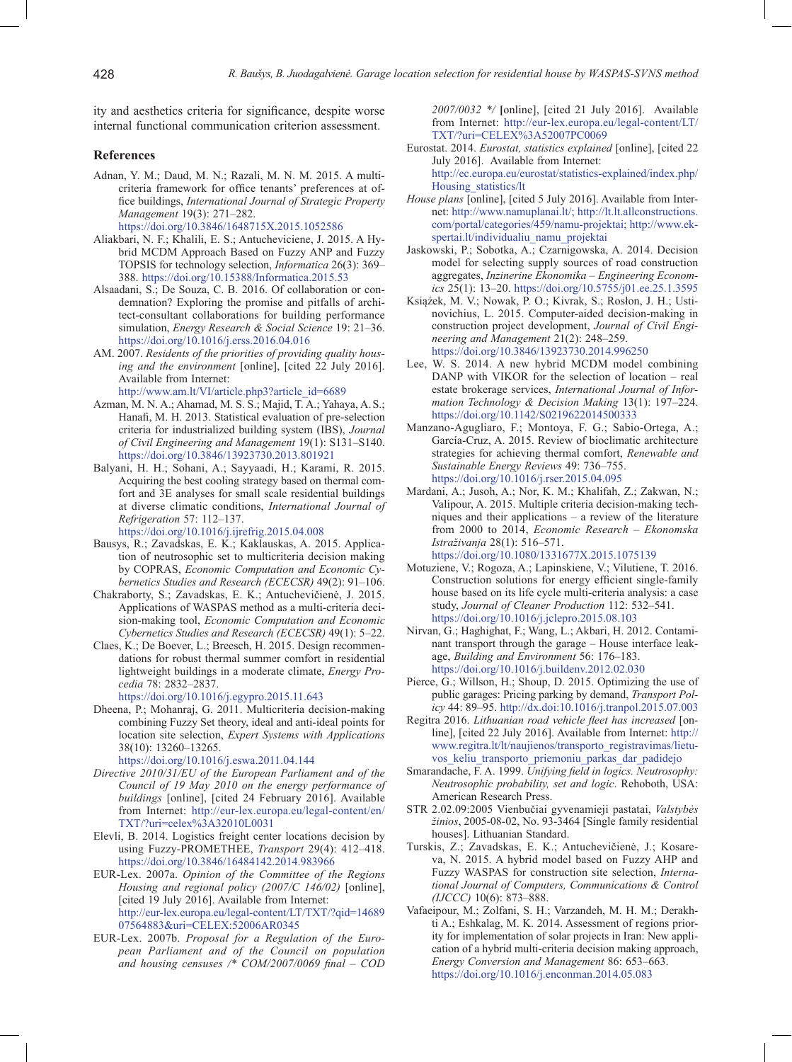ity and aesthetics criteria for significance, despite worse internal functional communication criterion assessment.

### **References**

- Adnan, Y. M.; Daud, M. N.; Razali, M. N. M. 2015. A multicriteria framework for office tenants' preferences at office buildings, *International Journal of Strategic Property Management* 19(3): 271–282. https://doi.org/10.3846/1648715X.2015.1052586
- Aliakbari, N. F.; Khalili, E. S.; Antucheviciene, J. 2015. A Hybrid MCDM Approach Based on Fuzzy ANP and Fuzzy TOPSIS for technology selection, *Informatica* 26(3): 369– 388. https://doi.org/10.15388/Informatica.2015.53
- Alsaadani, S.; De Souza, C. B. 2016. Of collaboration or condemnation? Exploring the promise and pitfalls of architect-consultant collaborations for building performance simulation, *Energy Research & Social Science* 19: 21–36. https://doi.org/10.1016/j.erss.2016.04.016
- AM. 2007. *Residents of the priorities of providing quality housing and the environment* [online], [cited 22 July 2016]. Available from Internet: http://www.am.lt/VI/article.php3?article\_id=6689
- Azman, M. N. A.; Ahamad, M. S. S.; Majid, T. A.; Yahaya, A.S.; Hanafi, M. H. 2013. Statistical evaluation of pre-selection criteria for industrialized building system (IBS), *Journal of Civil Engineering and Management* 19(1): S131–S140. https://doi.org/10.3846/13923730.2013.801921
- Balyani, H. H.; Sohani, A.; Sayyaadi, H.; Karami, R. 2015. Acquiring the best cooling strategy based on thermal comfort and 3E analyses for small scale residential buildings at diverse climatic conditions, *International Journal of Refrigeration* 57: 112–137.

https://doi.org/10.1016/j.ijrefrig.2015.04.008

- Bausys, R.; Zavadskas, E. K.; Kaklauskas, A. 2015. Application of neutrosophic set to multicriteria decision making by COPRAS, *Economic Computation and Economic Cybernetics Studies and Research (ECECSR)* 49(2): 91–106.
- Chakraborty, S.; Zavadskas, E. K.; Antuchevičienė, J. 2015. Applications of WASPAS method as a multi-criteria decision-making tool, *Economic Computation and Economic Cybernetics Studies and Research (ECECSR)* 49(1): 5–22.
- Claes, K.; De Boever, L.; Breesch, H. 2015. Design recommendations for robust thermal summer comfort in residential lightweight buildings in a moderate climate, *Energy Procedia* 78: 2832–2837.

https://doi.org/10.1016/j.egypro.2015.11.643

Dheena, P.; Mohanraj, G. 2011. Multicriteria decision-making combining Fuzzy Set theory, ideal and anti-ideal points for location site selection, *Expert Systems with Applications* 38(10): 13260–13265.

https://doi.org/10.1016/j.eswa.2011.04.144

- *Directive 2010/31/EU of the European Parliament and of the Council of 19 May 2010 on the energy performance of buildings* [online], [cited 24 February 2016]. Available from Internet: http://eur-lex.europa.eu/legal-content/en/ TXT/?uri=celex%3A32010L0031
- Elevli, B. 2014. Logistics freight center locations decision by using Fuzzy-PROMETHEE, *Transport* 29(4): 412–418. https://doi.org/10.3846/16484142.2014.983966
- EUR-Lex. 2007a. *Opinion of the Committee of the Regions Housing and regional policy (2007/C 146/02)* [online], [cited 19 July 2016]. Available from Internet: http://eur-lex.europa.eu/legal-content/LT/TXT/?qid=14689 07564883&uri=CELEX:52006AR0345
- EUR-Lex. 2007b. *Proposal for a Regulation of the European Parliament and of the Council on population and housing censuses /\* COM/2007/0069 final – COD*

*2007/0032 \*/* **[**online], [cited 21 July 2016]. Available from Internet: http://eur-lex.europa.eu/legal-content/LT/ TXT/?uri=CELEX%3A52007PC0069

Eurostat. 2014. *Eurostat, statistics explained* [online], [cited 22 July 2016]. Available from Internet:

http://ec.europa.eu/eurostat/statistics-explained/index.php/ Housing\_statistics/lt

- *House plans* [online], [cited 5 July 2016]. Available from Internet: http://www.namuplanai.lt/; http://lt.lt.allconstructions. com/portal/categories/459/namu-projektai; http://www.ekspertai.lt/individualiu\_namu\_projektai
- Jaskowski, P.; Sobotka, A.; Czarnigowska, A. 2014. Decision model for selecting supply sources of road construction aggregates, *Inzinerine Ekonomika – Engineering Economics* 25(1): 13–20. https://doi.org/10.5755/j01.ee.25.1.3595
- Ksiąźek, M. V.; Nowak, P. O.; Kivrak, S.; Rosłon, J. H.; Ustinovichius, L. 2015. Computer-aided decision-making in construction project development, *Journal of Civil Engineering and Management* 21(2): 248–259. https://doi.org/10.3846/13923730.2014.996250
- Lee, W. S. 2014. A new hybrid MCDM model combining DANP with VIKOR for the selection of location – real estate brokerage services, *International Journal of Information Technology & Decision Making* 13(1): 197–224. https://doi.org/10.1142/S0219622014500333
- Manzano-Agugliaro, F.; Montoya, F. G.; Sabio-Ortega, A.; García-Cruz, A. 2015. Review of bioclimatic architecture strategies for achieving thermal comfort, *Renewable and Sustainable Energy Reviews* 49: 736–755. https://doi.org/10.1016/j.rser.2015.04.095
- Mardani, A.; Jusoh, A.; Nor, K. M.; Khalifah, Z.; Zakwan, N.; Valipour, A. 2015. Multiple criteria decision-making techniques and their applications – a review of the literature from 2000 to 2014, *Economic Research – Ekonomska Istraživanja* 28(1): 516–571. https://doi.org/10.1080/1331677X.2015.1075139

Motuziene, V.; Rogoza, A.; Lapinskiene, V.; Vilutiene, T. 2016. Construction solutions for energy efficient single-family house based on its life cycle multi-criteria analysis: a case study, *Journal of Cleaner Production* 112: 532–541. https://doi.org/10.1016/j.jclepro.2015.08.103

- Nirvan, G.; Haghighat, F.; Wang, L.; Akbari, H. 2012. Contaminant transport through the garage – House interface leakage, *Building and Environment* 56: 176–183. https://doi.org/10.1016/j.buildenv.2012.02.030
- Pierce, G.; Willson, H.; Shoup, D. 2015. Optimizing the use of public garages: Pricing parking by demand, *Transport Policy* 44: 89–95. http://dx.doi:10.1016/j.tranpol.2015.07.003
- Regitra 2016. *Lithuanian road vehicle fleet has increased* [online], [cited 22 July 2016]. Available from Internet: http:// www.regitra.lt/lt/naujienos/transporto\_registravimas/lietuvos keliu transporto priemoniu parkas dar padidejo
- Smarandache, F. A. 1999. *Unifying field in logics. Neutrosophy: Neutrosophic probability, set and logic*. Rehoboth, USA: American Research Press.
- STR 2.02.09:2005 Vienbučiai gyvenamieji pastatai, *Valstybės žinios*, 2005-08-02, No. 93-3464 [Single family residential houses]. Lithuanian Standard.
- Turskis, Z.; Zavadskas, E. K.; Antuchevičienė, J.; Kosareva, N. 2015. A hybrid model based on Fuzzy AHP and Fuzzy WASPAS for construction site selection, *International Journal of Computers, Communications & Control (IJCCC)* 10(6): 873–888.
- Vafaeipour, M.; Zolfani, S. H.; Varzandeh, M. H. M.; Derakhti A.; Eshkalag, M. K. 2014. Assessment of regions priority for implementation of solar projects in Iran: New application of a hybrid multi-criteria decision making approach, *Energy Conversion and Management* 86: 653–663. https://doi.org/10.1016/j.enconman.2014.05.083